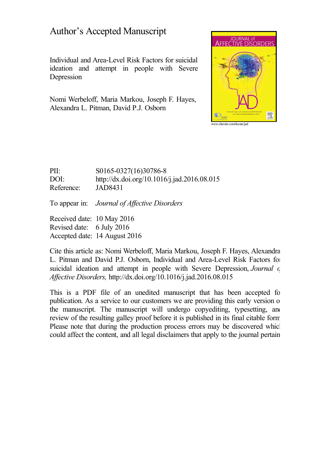# Author's Accepted Manuscript

Individual and Area-Level Risk Factors for suicidal ideation and attempt in people with Severe Depression

Nomi Werbeloff, Maria Markou, Joseph F. Hayes, Alexandra L. Pitman, David P.J. Osborn



PII: S0165-0327(16)30786-8 DOI: <http://dx.doi.org/10.1016/j.jad.2016.08.015> Reference: JAD8431

To appear in: *Journal of Affective Disorders* 

Received date: 10 May 2016 Revised date: 6 July 2016 Accepted date: 14 August 2016

Cite this article as: Nomi Werbeloff, Maria Markou, Joseph F. Hayes, Alexandra L. Pitman and David P.J. Osborn, Individual and Area-Level Risk Factors for suicidal ideation and attempt in people with Severe Depression, *Journal c Af ective Disorders,* <http://dx.doi.org/10.1016/j.jad.2016.08.015>

This is a PDF file of an unedited manuscript that has been accepted for publication. As a service to our customers we are providing this early version of the manuscript. The manuscript will undergo copyediting, typesetting, and review of the resulting galley proof before it is published in its final citable form. Please note that during the production process errors may be discovered which could affect the content, and all legal disclaimers that apply to the journal pertain.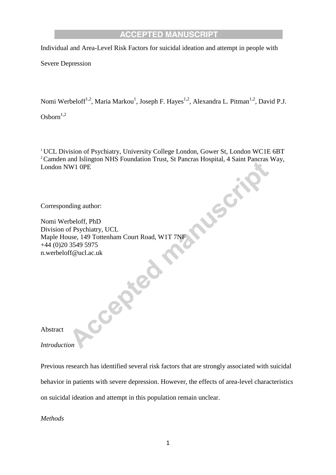Individual and Area-Level Risk Factors for suicidal ideation and attempt in people with

Severe Depression

Nomi Werbeloff<sup>1,2</sup>, Maria Markou<sup>1</sup>, Joseph F. Hayes<sup>1,2</sup>, Alexandra L. Pitman<sup>1,2</sup>, David P.J.

 $\mbox{Osborn}^{1,2}$ 

<sup>1</sup> UCL Division of Psychiatry, University College London, Gower St, London WC1E 6BT <sup>2</sup> Camden and Islington NHS Foundation Trust, St Pancras Hospital, 4 Saint Pancras Way, London NW1 0PE

USCAL

Corresponding author:

Nomi Werbeloff, PhD Division of Psychiatry, UCL Maple House, 149 Tottenham Court Road, W1T 7NF +44 (0)20 3549 5975 n.werbeloff@ucl.ac.uk<br>Abstract<br>Intro<sup>2</sup>

Abstract

*Introduction*

Previous research has identified several risk factors that are strongly associated with suicidal behavior in patients with severe depression. However, the effects of area-level characteristics on suicidal ideation and attempt in this population remain unclear.

*Methods*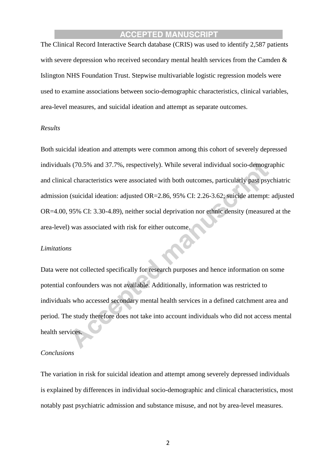The Clinical Record Interactive Search database (CRIS) was used to identify 2,587 patients with severe depression who received secondary mental health services from the Camden & Islington NHS Foundation Trust. Stepwise multivariable logistic regression models were used to examine associations between socio-demographic characteristics, clinical variables, area-level measures, and suicidal ideation and attempt as separate outcomes.

#### *Results*

Both suicidal ideation and attempts were common among this cohort of severely depressed individuals (70.5% and 37.7%, respectively). While several individual socio-demographic and clinical characteristics were associated with both outcomes, particularly past psychiatric admission (suicidal ideation: adjusted OR=2.86, 95% CI: 2.26-3.62; suicide attempt: adjusted OR=4.00, 95% CI: 3.30-4.89), neither social deprivation nor ethnic density (measured at the area-level) was associated with risk for either outcome.

#### *Limitations*

Data were not collected specifically for research purposes and hence information on some potential confounders was not available. Additionally, information was restricted to individuals who accessed secondary mental health services in a defined catchment area and period. The study therefore does not take into account individuals who did not access mental health services.

#### *Conclusions*

The variation in risk for suicidal ideation and attempt among severely depressed individuals is explained by differences in individual socio-demographic and clinical characteristics, most notably past psychiatric admission and substance misuse, and not by area-level measures.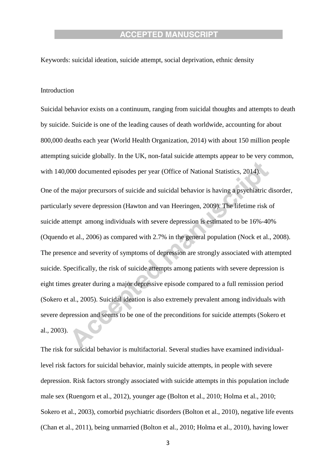Keywords: suicidal ideation, suicide attempt, social deprivation, ethnic density

#### Introduction

Suicidal behavior exists on a continuum, ranging from suicidal thoughts and attempts to death by suicide. Suicide is one of the leading causes of death worldwide, accounting for about 800,000 deaths each year (World Health Organization, 2014) with about 150 million people attempting suicide globally. In the UK, non-fatal suicide attempts appear to be very common, with 140,000 documented episodes per year (Office of National Statistics, 2014).

One of the major precursors of suicide and suicidal behavior is having a psychiatric disorder, particularly severe depression (Hawton and van Heeringen, 2009). The lifetime risk of suicide attempt among individuals with severe depression is estimated to be 16%-40% (Oquendo et al., 2006) as compared with 2.7% in the general population (Nock et al., 2008). The presence and severity of symptoms of depression are strongly associated with attempted suicide. Specifically, the risk of suicide attempts among patients with severe depression is eight times greater during a major depressive episode compared to a full remission period (Sokero et al., 2005). Suicidal ideation is also extremely prevalent among individuals with severe depression and seems to be one of the preconditions for suicide attempts (Sokero et al., 2003).

The risk for suicidal behavior is multifactorial. Several studies have examined individuallevel risk factors for suicidal behavior, mainly suicide attempts, in people with severe depression. Risk factors strongly associated with suicide attempts in this population include male sex (Ruengorn et al., 2012), younger age (Bolton et al., 2010; Holma et al., 2010; Sokero et al., 2003), comorbid psychiatric disorders (Bolton et al., 2010), negative life events (Chan et al., 2011), being unmarried (Bolton et al., 2010; Holma et al., 2010), having lower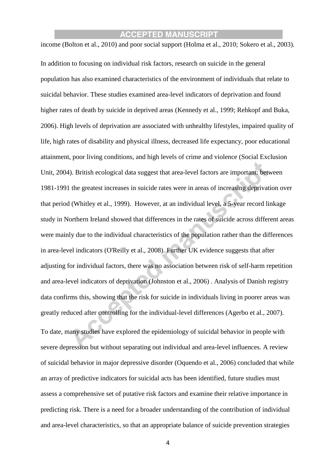income (Bolton et al., 2010) and poor social support (Holma et al., 2010; Sokero et al., 2003).

In addition to focusing on individual risk factors, research on suicide in the general population has also examined characteristics of the environment of individuals that relate to suicidal behavior. These studies examined area-level indicators of deprivation and found higher rates of death by suicide in deprived areas (Kennedy et al., 1999; Rehkopf and Buka, 2006). High levels of deprivation are associated with unhealthy lifestyles, impaired quality of life, high rates of disability and physical illness, decreased life expectancy, poor educational attainment, poor living conditions, and high levels of crime and violence (Social Exclusion Unit, 2004). British ecological data suggest that area-level factors are important: between 1981-1991 the greatest increases in suicide rates were in areas of increasing deprivation over that period (Whitley et al., 1999). However, at an individual level, a 5-year record linkage study in Northern Ireland showed that differences in the rates of suicide across different areas were mainly due to the individual characteristics of the population rather than the differences in area-level indicators (O'Reilly et al., 2008). Further UK evidence suggests that after adjusting for individual factors, there was no association between risk of self-harm repetition and area-level indicators of deprivation (Johnston et al., 2006) . Analysis of Danish registry data confirms this, showing that the risk for suicide in individuals living in poorer areas was greatly reduced after controlling for the individual-level differences (Agerbo et al., 2007). To date, many studies have explored the epidemiology of suicidal behavior in people with severe depression but without separating out individual and area-level influences. A review of suicidal behavior in major depressive disorder (Oquendo et al., 2006) concluded that while an array of predictive indicators for suicidal acts has been identified, future studies must assess a comprehensive set of putative risk factors and examine their relative importance in predicting risk. There is a need for a broader understanding of the contribution of individual and area-level characteristics, so that an appropriate balance of suicide prevention strategies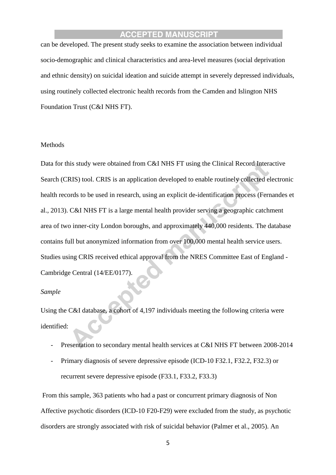can be developed. The present study seeks to examine the association between individual socio-demographic and clinical characteristics and area-level measures (social deprivation and ethnic density) on suicidal ideation and suicide attempt in severely depressed individuals, using routinely collected electronic health records from the Camden and Islington NHS Foundation Trust (C&I NHS FT).

#### Methods

Data for this study were obtained from C&I NHS FT using the Clinical Record Interactive Search (CRIS) tool. CRIS is an application developed to enable routinely collected electronic health records to be used in research, using an explicit de-identification process (Fernandes et al., 2013). C&I NHS FT is a large mental health provider serving a geographic catchment area of two inner-city London boroughs, and approximately 440,000 residents. The database contains full but anonymized information from over 100,000 mental health service users. Studies using CRIS received ethical approval from the NRES Committee East of England - Cambridge Central (14/EE/0177).

#### *Sample*

Using the C&I database, a cohort of 4,197 individuals meeting the following criteria were identified:

- Presentation to secondary mental health services at C&I NHS FT between 2008-2014
- Primary diagnosis of severe depressive episode (ICD-10 F32.1, F32.2, F32.3) or recurrent severe depressive episode (F33.1, F33.2, F33.3)

From this sample, 363 patients who had a past or concurrent primary diagnosis of Non Affective psychotic disorders (ICD-10 F20-F29) were excluded from the study, as psychotic disorders are strongly associated with risk of suicidal behavior (Palmer et al., 2005). An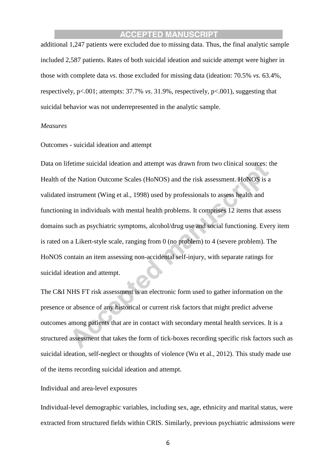additional 1,247 patients were excluded due to missing data. Thus, the final analytic sample included 2,587 patients. Rates of both suicidal ideation and suicide attempt were higher in those with complete data *vs*. those excluded for missing data (ideation: 70.5% *vs*. 63.4%, respectively, p<.001; attempts: 37.7% *vs*. 31.9%, respectively, p<.001), suggesting that suicidal behavior was not underrepresented in the analytic sample.

#### *Measures*

Outcomes - suicidal ideation and attempt

Data on lifetime suicidal ideation and attempt was drawn from two clinical sources: the Health of the Nation Outcome Scales (HoNOS) and the risk assessment. HoNOS is a validated instrument (Wing et al., 1998) used by professionals to assess health and functioning in individuals with mental health problems. It comprises 12 items that assess domains such as psychiatric symptoms, alcohol/drug use and social functioning. Every item is rated on a Likert-style scale, ranging from 0 (no problem) to 4 (severe problem). The HoNOS contain an item assessing non-accidental self-injury, with separate ratings for suicidal ideation and attempt.

The C&I NHS FT risk assessment is an electronic form used to gather information on the presence or absence of any historical or current risk factors that might predict adverse outcomes among patients that are in contact with secondary mental health services. It is a structured assessment that takes the form of tick-boxes recording specific risk factors such as suicidal ideation, self-neglect or thoughts of violence (Wu et al., 2012). This study made use of the items recording suicidal ideation and attempt.

#### Individual and area-level exposures

Individual-level demographic variables, including sex, age, ethnicity and marital status, were extracted from structured fields within CRIS. Similarly, previous psychiatric admissions were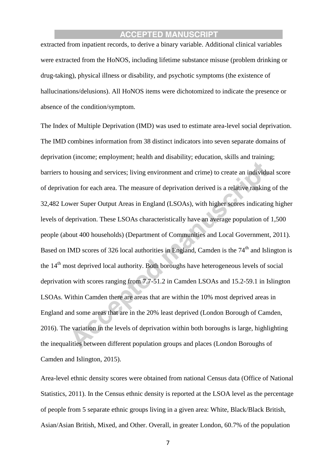extracted from inpatient records, to derive a binary variable. Additional clinical variables were extracted from the HoNOS, including lifetime substance misuse (problem drinking or drug-taking), physical illness or disability, and psychotic symptoms (the existence of hallucinations/delusions). All HoNOS items were dichotomized to indicate the presence or absence of the condition/symptom.

The Index of Multiple Deprivation (IMD) was used to estimate area-level social deprivation. The IMD combines information from 38 distinct indicators into seven separate domains of deprivation (income; employment; health and disability; education, skills and training; barriers to housing and services; living environment and crime) to create an individual score of deprivation for each area. The measure of deprivation derived is a relative ranking of the 32,482 Lower Super Output Areas in England (LSOAs), with higher scores indicating higher levels of deprivation. These LSOAs characteristically have an average population of 1,500 people (about 400 households) (Department of Communities and Local Government, 2011). Based on IMD scores of 326 local authorities in England, Camden is the  $74<sup>th</sup>$  and Islington is the 14<sup>th</sup> most deprived local authority. Both boroughs have heterogeneous levels of social deprivation with scores ranging from 7.7-51.2 in Camden LSOAs and 15.2-59.1 in Islington LSOAs. Within Camden there are areas that are within the 10% most deprived areas in England and some areas that are in the 20% least deprived (London Borough of Camden, 2016). The variation in the levels of deprivation within both boroughs is large, highlighting the inequalities between different population groups and places (London Boroughs of Camden and Islington, 2015).

Area-level ethnic density scores were obtained from national Census data (Office of National Statistics, 2011). In the Census ethnic density is reported at the LSOA level as the percentage of people from 5 separate ethnic groups living in a given area: White, Black/Black British, Asian/Asian British, Mixed, and Other. Overall, in greater London, 60.7% of the population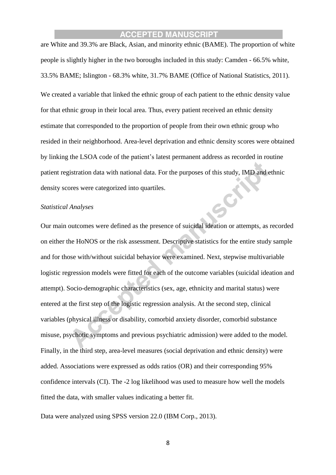are White and 39.3% are Black, Asian, and minority ethnic (BAME). The proportion of white people is slightly higher in the two boroughs included in this study: Camden - 66.5% white, 33.5% BAME; Islington - 68.3% white, 31.7% BAME (Office of National Statistics, 2011). We created a variable that linked the ethnic group of each patient to the ethnic density value for that ethnic group in their local area. Thus, every patient received an ethnic density estimate that corresponded to the proportion of people from their own ethnic group who resided in their neighborhood. Area-level deprivation and ethnic density scores were obtained by linking the LSOA code of the patient's latest permanent address as recorded in routine patient registration data with national data. For the purposes of this study, IMD and ethnic density scores were categorized into quartiles.

#### *Statistical Analyses*

Our main outcomes were defined as the presence of suicidal ideation or attempts, as recorded on either the HoNOS or the risk assessment. Descriptive statistics for the entire study sample and for those with/without suicidal behavior were examined. Next, stepwise multivariable logistic regression models were fitted for each of the outcome variables (suicidal ideation and attempt). Socio-demographic characteristics (sex, age, ethnicity and marital status) were entered at the first step of the logistic regression analysis. At the second step, clinical variables (physical illness or disability, comorbid anxiety disorder, comorbid substance misuse, psychotic symptoms and previous psychiatric admission) were added to the model. Finally, in the third step, area-level measures (social deprivation and ethnic density) were added. Associations were expressed as odds ratios (OR) and their corresponding 95% confidence intervals (CI). The -2 log likelihood was used to measure how well the models fitted the data, with smaller values indicating a better fit.

Data were analyzed using SPSS version 22.0 (IBM Corp., 2013).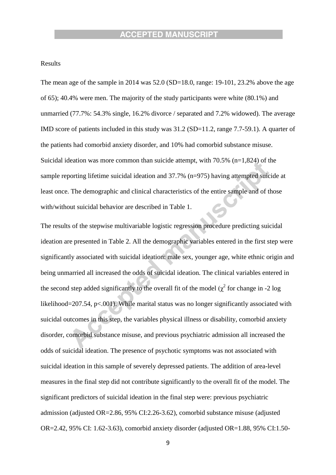#### Results

The mean age of the sample in 2014 was 52.0 (SD=18.0, range: 19-101, 23.2% above the age of 65); 40.4% were men. The majority of the study participants were white (80.1%) and unmarried (77.7%: 54.3% single, 16.2% divorce / separated and 7.2% widowed). The average IMD score of patients included in this study was 31.2 (SD=11.2, range 7.7-59.1). A quarter of the patients had comorbid anxiety disorder, and 10% had comorbid substance misuse. Suicidal ideation was more common than suicide attempt, with 70.5% (n=1,824) of the sample reporting lifetime suicidal ideation and 37.7% (n=975) having attempted suicide at least once. The demographic and clinical characteristics of the entire sample and of those with/without suicidal behavior are described in Table 1.

The results of the stepwise multivariable logistic regression procedure predicting suicidal ideation are presented in Table 2. All the demographic variables entered in the first step were significantly associated with suicidal ideation: male sex, younger age, white ethnic origin and being unmarried all increased the odds of suicidal ideation. The clinical variables entered in the second step added significantly to the overall fit of the model ( $\chi^2$  for change in -2 log likelihood=207.54, p<.001). While marital status was no longer significantly associated with suicidal outcomes in this step, the variables physical illness or disability, comorbid anxiety disorder, comorbid substance misuse, and previous psychiatric admission all increased the odds of suicidal ideation. The presence of psychotic symptoms was not associated with suicidal ideation in this sample of severely depressed patients. The addition of area-level measures in the final step did not contribute significantly to the overall fit of the model. The significant predictors of suicidal ideation in the final step were: previous psychiatric admission (adjusted OR=2.86, 95% CI:2.26-3.62), comorbid substance misuse (adjusted OR=2.42, 95% CI: 1.62-3.63), comorbid anxiety disorder (adjusted OR=1.88, 95% CI:1.50-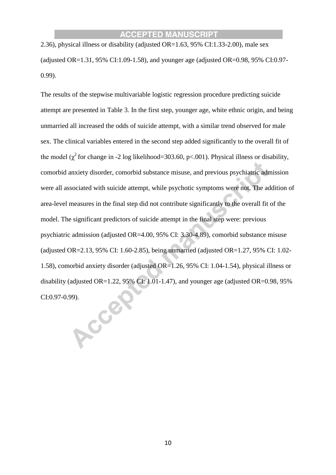2.36), physical illness or disability (adjusted OR=1.63, 95% CI:1.33-2.00), male sex (adjusted OR= $1.31, 95\%$  CI:1.09-1.58), and younger age (adjusted OR= $0.98, 95\%$  CI:0.97-0.99).

The results of the stepwise multivariable logistic regression procedure predicting suicide attempt are presented in Table 3. In the first step, younger age, white ethnic origin, and being unmarried all increased the odds of suicide attempt, with a similar trend observed for male sex. The clinical variables entered in the second step added significantly to the overall fit of the model ( $\chi^2$  for change in -2 log likelihood=303.60, p<.001). Physical illness or disability, comorbid anxiety disorder, comorbid substance misuse, and previous psychiatric admission were all associated with suicide attempt, while psychotic symptoms were not. The addition of area-level measures in the final step did not contribute significantly to the overall fit of the model. The significant predictors of suicide attempt in the final step were: previous psychiatric admission (adjusted OR=4.00, 95% CI: 3.30-4.89), comorbid substance misuse (adjusted OR=2.13, 95% CI: 1.60-2.85), being unmarried (adjusted OR=1.27, 95% CI: 1.02-1.58), comorbid anxiety disorder (adjusted OR=1.26, 95% CI: 1.04-1.54), physical illness or disability (adjusted OR=1.22, 95% CI: 1.01-1.47), and younger age (adjusted OR=0.98, 95% CI:0.97-0.99).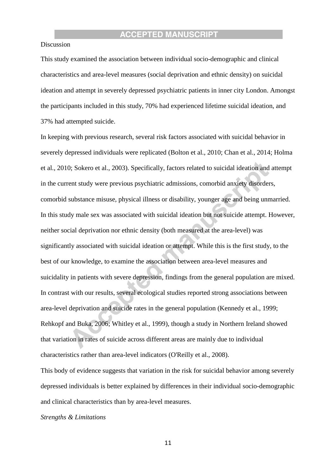#### Discussion

This study examined the association between individual socio-demographic and clinical characteristics and area-level measures (social deprivation and ethnic density) on suicidal ideation and attempt in severely depressed psychiatric patients in inner city London. Amongst the participants included in this study, 70% had experienced lifetime suicidal ideation, and 37% had attempted suicide.

In keeping with previous research, several risk factors associated with suicidal behavior in severely depressed individuals were replicated (Bolton et al., 2010; Chan et al., 2014; Holma et al., 2010; Sokero et al., 2003). Specifically, factors related to suicidal ideation and attempt in the current study were previous psychiatric admissions, comorbid anxiety disorders, comorbid substance misuse, physical illness or disability, younger age and being unmarried. In this study male sex was associated with suicidal ideation but not suicide attempt. However, neither social deprivation nor ethnic density (both measured at the area-level) was significantly associated with suicidal ideation or attempt. While this is the first study, to the best of our knowledge, to examine the association between area-level measures and suicidality in patients with severe depression, findings from the general population are mixed. In contrast with our results, several ecological studies reported strong associations between area-level deprivation and suicide rates in the general population (Kennedy et al., 1999; Rehkopf and Buka, 2006; Whitley et al., 1999), though a study in Northern Ireland showed that variation in rates of suicide across different areas are mainly due to individual characteristics rather than area-level indicators (O'Reilly et al., 2008).

This body of evidence suggests that variation in the risk for suicidal behavior among severely depressed individuals is better explained by differences in their individual socio-demographic and clinical characteristics than by area-level measures.

#### *Strengths & Limitations*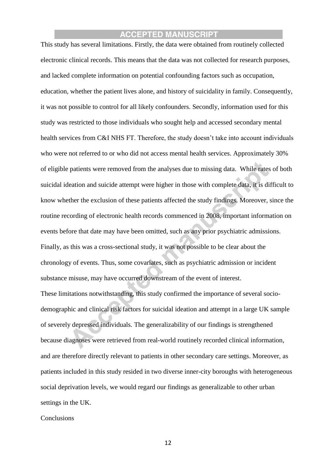This study has several limitations. Firstly, the data were obtained from routinely collected electronic clinical records. This means that the data was not collected for research purposes, and lacked complete information on potential confounding factors such as occupation, education, whether the patient lives alone, and history of suicidality in family. Consequently, it was not possible to control for all likely confounders. Secondly, information used for this study was restricted to those individuals who sought help and accessed secondary mental health services from C&I NHS FT. Therefore, the study doesn't take into account individuals who were not referred to or who did not access mental health services. Approximately 30% of eligible patients were removed from the analyses due to missing data. While rates of both suicidal ideation and suicide attempt were higher in those with complete data, it is difficult to know whether the exclusion of these patients affected the study findings. Moreover, since the routine recording of electronic health records commenced in 2008, important information on events before that date may have been omitted, such as any prior psychiatric admissions. Finally, as this was a cross-sectional study, it was not possible to be clear about the chronology of events. Thus, some covariates, such as psychiatric admission or incident substance misuse, may have occurred downstream of the event of interest. These limitations notwithstanding, this study confirmed the importance of several sociodemographic and clinical risk factors for suicidal ideation and attempt in a large UK sample of severely depressed individuals. The generalizability of our findings is strengthened because diagnoses were retrieved from real-world routinely recorded clinical information, and are therefore directly relevant to patients in other secondary care settings. Moreover, as patients included in this study resided in two diverse inner-city boroughs with heterogeneous social deprivation levels, we would regard our findings as generalizable to other urban settings in the UK.

**Conclusions**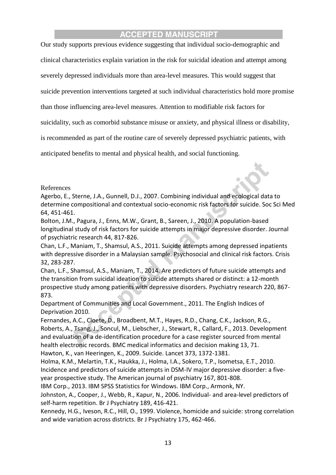Our study supports previous evidence suggesting that individual socio-demographic and

clinical characteristics explain variation in the risk for suicidal ideation and attempt among

severely depressed individuals more than area-level measures. This would suggest that

suicide prevention interventions targeted at such individual characteristics hold more promise

than those influencing area-level measures. Attention to modifiable risk factors for

suicidality, such as comorbid substance misuse or anxiety, and physical illness or disability,

is recommended as part of the routine care of severely depressed psychiatric patients, with

anticipated benefits to mental and physical health, and social functioning.

References

Agerbo, E., Sterne, J.A., Gunnell, D.J., 2007. Combining individual and ecological data to determine compositional and contextual socio-economic risk factors for suicide. Soc Sci Med 64, 451-461.

Bolton, J.M., Pagura, J., Enns, M.W., Grant, B., Sareen, J., 2010. A population-based longitudinal study of risk factors for suicide attempts in major depressive disorder. Journal of psychiatric research 44, 817-826.

Chan, L.F., Maniam, T., Shamsul, A.S., 2011. Suicide attempts among depressed inpatients with depressive disorder in a Malaysian sample. Psychosocial and clinical risk factors. Crisis 32, 283-287.

Chan, L.F., Shamsul, A.S., Maniam, T., 2014. Are predictors of future suicide attempts and the transition from suicidal ideation to suicide attempts shared or distinct: a 12-month prospective study among patients with depressive disorders. Psychiatry research 220, 867- 873.

Department of Communities and Local Government., 2011. The English Indices of Deprivation 2010.

Fernandes, A.C., Cloete, D., Broadbent, M.T., Hayes, R.D., Chang, C.K., Jackson, R.G., Roberts, A., Tsang, J., Soncul, M., Liebscher, J., Stewart, R., Callard, F., 2013. Development and evaluation of a de-identification procedure for a case register sourced from mental health electronic records. BMC medical informatics and decision making 13, 71. Hawton, K., van Heeringen, K., 2009. Suicide. Lancet 373, 1372-1381.

Holma, K.M., Melartin, T.K., Haukka, J., Holma, I.A., Sokero, T.P., Isometsa, E.T., 2010. Incidence and predictors of suicide attempts in DSM-IV major depressive disorder: a fiveyear prospective study. The American journal of psychiatry 167, 801-808.

IBM Corp., 2013. IBM SPSS Statistics for Windows. IBM Corp., Armonk, NY.

Johnston, A., Cooper, J., Webb, R., Kapur, N., 2006. Individual- and area-level predictors of self-harm repetition. Br J Psychiatry 189, 416-421.

Kennedy, H.G., Iveson, R.C., Hill, O., 1999. Violence, homicide and suicide: strong correlation and wide variation across districts. Br J Psychiatry 175, 462-466.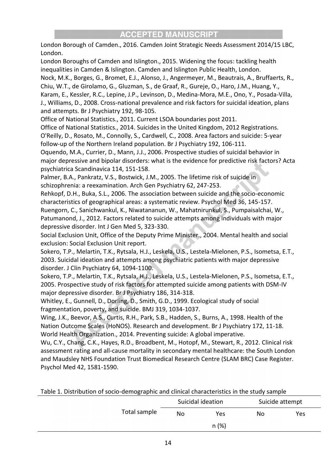London Borough of Camden., 2016. Camden Joint Strategic Needs Assessment 2014/15 LBC, London.

London Boroughs of Camden and Islington., 2015. Widening the focus: tackling health inequalities in Camden & Islington. Camden and Islington Public Health, London. Nock, M.K., Borges, G., Bromet, E.J., Alonso, J., Angermeyer, M., Beautrais, A., Bruffaerts, R., Chiu, W.T., de Girolamo, G., Gluzman, S., de Graaf, R., Gureje, O., Haro, J.M., Huang, Y., Karam, E., Kessler, R.C., Lepine, J.P., Levinson, D., Medina-Mora, M.E., Ono, Y., Posada-Villa, J., Williams, D., 2008. Cross-national prevalence and risk factors for suicidal ideation, plans and attempts. Br J Psychiatry 192, 98-105.

Office of National Statistics., 2011. Current LSOA boundaries post 2011.

Office of National Statistics., 2014. Suicides in the United Kingdom, 2012 Registrations. O'Reilly, D., Rosato, M., Connolly, S., Cardwell, C., 2008. Area factors and suicide: 5-year follow-up of the Northern Ireland population. Br J Psychiatry 192, 106-111.

Oquendo, M.A., Currier, D., Mann, J.J., 2006. Prospective studies of suicidal behavior in major depressive and bipolar disorders: what is the evidence for predictive risk factors? Acta psychiatrica Scandinavica 114, 151-158.

Palmer, B.A., Pankratz, V.S., Bostwick, J.M., 2005. The lifetime risk of suicide in schizophrenia: a reexamination. Arch Gen Psychiatry 62, 247-253.

Rehkopf, D.H., Buka, S.L., 2006. The association between suicide and the socio-economic characteristics of geographical areas: a systematic review. Psychol Med 36, 145-157.

Ruengorn, C., Sanichwankul, K., Niwatananun, W., Mahatnirunkul, S., Pumpaisalchai, W., Patumanond, J., 2012. Factors related to suicide attempts among individuals with major depressive disorder. Int J Gen Med 5, 323-330.

Social Exclusion Unit, Office of the Deputy Prime Minister., 2004. Mental health and social exclusion: Social Exclusion Unit report.

Sokero, T.P., Melartin, T.K., Rytsala, H.J., Leskela, U.S., Lestela-Mielonen, P.S., Isometsa, E.T., 2003. Suicidal ideation and attempts among psychiatric patients with major depressive disorder. J Clin Psychiatry 64, 1094-1100.

Sokero, T.P., Melartin, T.K., Rytsala, H.J., Leskela, U.S., Lestela-Mielonen, P.S., Isometsa, E.T., 2005. Prospective study of risk factors for attempted suicide among patients with DSM-IV major depressive disorder. Br J Psychiatry 186, 314-318.

Whitley, E., Gunnell, D., Dorling, D., Smith, G.D., 1999. Ecological study of social fragmentation, poverty, and suicide. BMJ 319, 1034-1037.

Wing, J.K., Beevor, A.S., Curtis, R.H., Park, S.B., Hadden, S., Burns, A., 1998. Health of the Nation Outcome Scales (HoNOS). Research and development. Br J Psychiatry 172, 11-18. World Health Organization., 2014. Preventing suicide: A global imperative.

Wu, C.Y., Chang, C.K., Hayes, R.D., Broadbent, M., Hotopf, M., Stewart, R., 2012. Clinical risk assessment rating and all-cause mortality in secondary mental healthcare: the South London and Maudsley NHS Foundation Trust Biomedical Research Centre (SLAM BRC) Case Register. Psychol Med 42, 1581-1590.

Table 1. Distribution of socio-demographic and clinical characteristics in the study sample

|              | Suicidal ideation |      | Suicide attempt |     |
|--------------|-------------------|------|-----------------|-----|
| Total sample | No                | Yes  | No              | Yes |
|              |                   | n(%) |                 |     |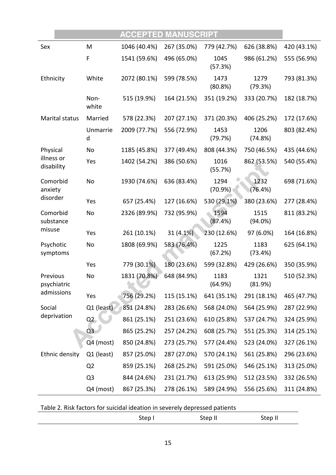|                          |                | <b>ACCEPTED MANUSCRIPT</b> |             |                 |                 |             |
|--------------------------|----------------|----------------------------|-------------|-----------------|-----------------|-------------|
| Sex                      | M              | 1046 (40.4%)               | 267 (35.0%) | 779 (42.7%)     | 626 (38.8%)     | 420 (43.1%) |
|                          | F              | 1541 (59.6%)               | 496 (65.0%) | 1045<br>(57.3%) | 986 (61.2%)     | 555 (56.9%) |
| Ethnicity                | White          | 2072 (80.1%)               | 599 (78.5%) | 1473<br>(80.8%) | 1279<br>(79.3%) | 793 (81.3%) |
|                          | Non-<br>white  | 515 (19.9%)                | 164 (21.5%) | 351 (19.2%)     | 333 (20.7%)     | 182 (18.7%) |
| Marital status           | Married        | 578 (22.3%)                | 207 (27.1%) | 371 (20.3%)     | 406 (25.2%)     | 172 (17.6%) |
|                          | Unmarrie<br>d  | 2009 (77.7%)               | 556 (72.9%) | 1453<br>(79.7%) | 1206<br>(74.8%) | 803 (82.4%) |
| Physical                 | No             | 1185 (45.8%)               | 377 (49.4%) | 808 (44.3%)     | 750 (46.5%)     | 435 (44.6%) |
| illness or<br>disability | Yes            | 1402 (54.2%)               | 386 (50.6%) | 1016<br>(55.7%) | 862 (53.5%)     | 540 (55.4%) |
| Comorbid<br>anxiety      | No             | 1930 (74.6%)               | 636 (83.4%) | 1294<br>(70.9%) | 1232<br>(76.4%) | 698 (71.6%) |
| disorder                 | Yes            | 657 (25.4%)                | 127 (16.6%) | 530 (29.1%)     | 380 (23.6%)     | 277 (28.4%) |
| Comorbid<br>substance    | No             | 2326 (89.9%)               | 732 (95.9%) | 1594<br>(87.4%) | 1515<br>(94.0%) | 811 (83.2%) |
| misuse                   | Yes            | 261 (10.1%)                | 31 (4.1%)   | 230 (12.6%)     | 97 (6.0%)       | 164 (16.8%) |
| Psychotic<br>symptoms    | No             | 1808 (69.9%)               | 583 (76.4%) | 1225<br>(67.2%) | 1183<br>(73.4%) | 625 (64.1%) |
|                          | Yes            | 779 (30.1%)                | 180 (23.6%) | 599 (32.8%)     | 429 (26.6%)     | 350 (35.9%) |
| Previous<br>psychiatric  | No             | 1831 (70.8%)               | 648 (84.9%) | 1183<br>(64.9%) | 1321<br>(81.9%) | 510 (52.3%) |
| admissions               | Yes            | 756 (29.2%)                | 115 (15.1%) | 641 (35.1%)     | 291 (18.1%)     | 465 (47.7%) |
| Social                   | $Q1$ (least)   | 851 (24.8%)                | 283 (26.6%) | 568 (24.0%)     | 564 (25.9%)     | 287 (22.9%) |
| deprivation              | Q2             | 861 (25.1%)                | 251 (23.6%) | 610 (25.8%)     | 537 (24.7%)     | 324 (25.9%) |
|                          | Q <sub>3</sub> | 865 (25.2%)                | 257 (24.2%) | 608 (25.7%)     | 551 (25.3%)     | 314 (25.1%) |
|                          | Q4 (most)      | 850 (24.8%)                | 273 (25.7%) | 577 (24.4%)     | 523 (24.0%)     | 327 (26.1%) |
| Ethnic density           | Q1 (least)     | 857 (25.0%)                | 287 (27.0%) | 570 (24.1%)     | 561 (25.8%)     | 296 (23.6%) |
|                          | Q <sub>2</sub> | 859 (25.1%)                | 268 (25.2%) | 591 (25.0%)     | 546 (25.1%)     | 313 (25.0%) |
|                          | Q3             | 844 (24.6%)                | 231 (21.7%) | 613 (25.9%)     | 512 (23.5%)     | 332 (26.5%) |
|                          | Q4 (most)      | 867 (25.3%)                | 278 (26.1%) | 589 (24.9%)     | 556 (25.6%)     | 311 (24.8%) |

| Table 2. Risk factors for suicidal ideation in severely depressed patients |  |
|----------------------------------------------------------------------------|--|
|----------------------------------------------------------------------------|--|

| step' | $\sim$<br>. .<br>ິ<br>.<br>$ -$ | $  -$<br>יי שי<br>---- |
|-------|---------------------------------|------------------------|
|       |                                 |                        |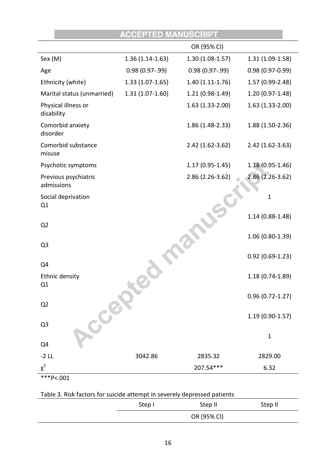|                                    | <b>ACCEPTED MANUSCRIPT</b> |                     |                     |
|------------------------------------|----------------------------|---------------------|---------------------|
|                                    |                            | OR (95% CI)         |                     |
| Sex (M)                            | $1.36(1.14-1.63)$          | 1.30 (1.08-1.57)    | 1.31 (1.09-1.58)    |
| Age                                | $0.98(0.97-0.99)$          | $0.98(0.97-0.99)$   | $0.98(0.97 - 0.99)$ |
| Ethnicity (white)                  | $1.33(1.07-1.65)$          | $1.40(1.11-1.76)$   | 1.57 (0.99-2.48)    |
| Marital status (unmarried)         | $1.31(1.07-1.60)$          | 1.21 (0.98-1.49)    | 1.20 (0.97-1.48)    |
| Physical illness or<br>disability  |                            | 1.63 (1.33-2.00)    | $1.63(1.33-2.00)$   |
| Comorbid anxiety<br>disorder       |                            | 1.86 (1.48-2.33)    | 1.88 (1.50-2.36)    |
| Comorbid substance<br>misuse       |                            | $2.42(1.62-3.62)$   | $2.42(1.62-3.63)$   |
| Psychotic symptoms                 |                            | $1.17(0.95 - 1.45)$ | $1.18(0.95 - 1.46)$ |
| Previous psychiatric<br>admissions |                            | 2.86 (2.26-3.62)    | $2.86(2.26-3.62)$   |
| Social deprivation<br>Q1           |                            |                     | $\mathbf{1}$        |
| Q <sub>2</sub>                     |                            |                     | $1.14(0.88-1.48)$   |
| Q <sub>3</sub>                     |                            |                     | 1.06 (0.80-1.39)    |
| Q4                                 |                            |                     | $0.92(0.69-1.23)$   |
| <b>Ethnic density</b><br>Q1        |                            |                     | $1.18(0.74-1.89)$   |
| Q2                                 |                            |                     | $0.96(0.72 - 1.27)$ |
| Local<br>Q <sub>3</sub>            |                            |                     | $1.19(0.90-1.57)$   |
| Q4                                 |                            |                     | $\mathbf{1}$        |
| $-2$ LL                            | 3042.86                    | 2835.32             | 2829.00             |
| $\chi^2$                           |                            | 207.54***           | 6.32                |
| ***P<.001                          |                            |                     |                     |

# Table 3. Risk factors for suicide attempt in severely depressed patients

| Step I | Step II     | Step II |
|--------|-------------|---------|
|        | OR (95% CI) |         |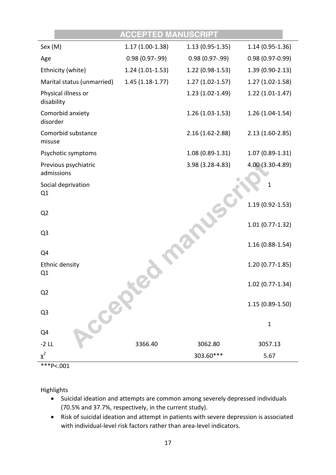|                                    | <b>ACCEPTED MANUSCRIPT</b> |                     |                     |
|------------------------------------|----------------------------|---------------------|---------------------|
| Sex (M)                            | $1.17(1.00-1.38)$          | $1.13(0.95-1.35)$   | $1.14(0.95-1.36)$   |
| Age                                | $0.98(0.97-0.99)$          | $0.98(0.97-0.99)$   | $0.98(0.97 - 0.99)$ |
| Ethnicity (white)                  | $1.24(1.01-1.53)$          | $1.22(0.98-1.53)$   | 1.39 (0.90-2.13)    |
| Marital status (unmarried)         | $1.45(1.18-1.77)$          | $1.27(1.02-1.57)$   | $1.27(1.02-1.58)$   |
| Physical illness or<br>disability  |                            | $1.23(1.02-1.49)$   | $1.22(1.01-1.47)$   |
| Comorbid anxiety<br>disorder       |                            | $1.26(1.03-1.53)$   | $1.26(1.04-1.54)$   |
| Comorbid substance<br>misuse       |                            | $2.16(1.62 - 2.88)$ | $2.13(1.60-2.85)$   |
| Psychotic symptoms                 |                            | $1.08(0.89-1.31)$   | $1.07(0.89-1.31)$   |
| Previous psychiatric<br>admissions |                            | 3.98 (3.28-4.83)    | 4.00 (3.30-4.89)    |
| Social deprivation<br>Q1           |                            |                     | 1                   |
| Q <sub>2</sub>                     |                            |                     | $1.19(0.92 - 1.53)$ |
| Q <sub>3</sub>                     |                            |                     | $1.01(0.77-1.32)$   |
|                                    |                            |                     | $1.16(0.88-1.54)$   |
| Q4                                 |                            |                     |                     |
| Ethnic density<br>Q1               |                            |                     | $1.20(0.77-1.85)$   |
| Q <sub>2</sub>                     |                            |                     | $1.02(0.77-1.34)$   |
|                                    |                            |                     | $1.15(0.89-1.50)$   |
| Q <sub>3</sub>                     |                            |                     |                     |
| CCE<br>Q4                          |                            |                     | $\mathbf 1$         |
| $-2$ LL                            | 3366.40                    | 3062.80             | 3057.13             |
| $\chi^2$                           |                            | 303.60***           | 5.67                |
| $***P<.001$                        |                            |                     |                     |

Highlights

- Suicidal ideation and attempts are common among severely depressed individuals (70.5% and 37.7%, respectively, in the current study).
- Risk of suicidal ideation and attempt in patients with severe depression is associated with individual-level risk factors rather than area-level indicators.